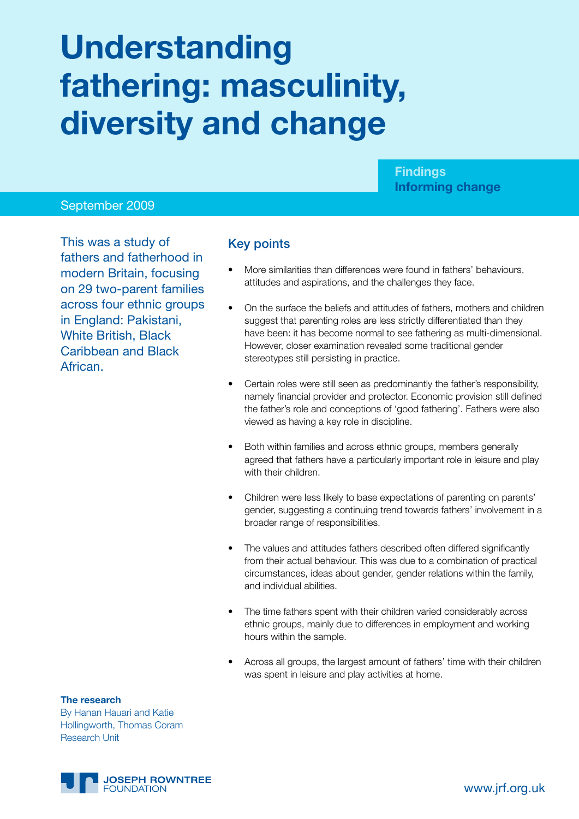# **Understanding fathering: masculinity, diversity and change**

**Findings Informing change**

## September 2009

This was a study of fathers and fatherhood in modern Britain, focusing on 29 two-parent families across four ethnic groups in England: Pakistani, White British, Black Caribbean and Black African.

## Key points

- More similarities than differences were found in fathers' behaviours, attitudes and aspirations, and the challenges they face.
- On the surface the beliefs and attitudes of fathers, mothers and children suggest that parenting roles are less strictly differentiated than they have been: it has become normal to see fathering as multi-dimensional. However, closer examination revealed some traditional gender stereotypes still persisting in practice.
- Certain roles were still seen as predominantly the father's responsibility, namely financial provider and protector. Economic provision still defined the father's role and conceptions of 'good fathering'. Fathers were also viewed as having a key role in discipline.
- Both within families and across ethnic groups, members generally agreed that fathers have a particularly important role in leisure and play with their children.
- Children were less likely to base expectations of parenting on parents' gender, suggesting a continuing trend towards fathers' involvement in a broader range of responsibilities.
- The values and attitudes fathers described often differed significantly from their actual behaviour. This was due to a combination of practical circumstances, ideas about gender, gender relations within the family, and individual abilities.
- The time fathers spent with their children varied considerably across ethnic groups, mainly due to differences in employment and working hours within the sample.
- Across all groups, the largest amount of fathers' time with their children was spent in leisure and play activities at home.

#### **The research**

By Hanan Hauari and Katie Hollingworth, Thomas Coram Research Unit

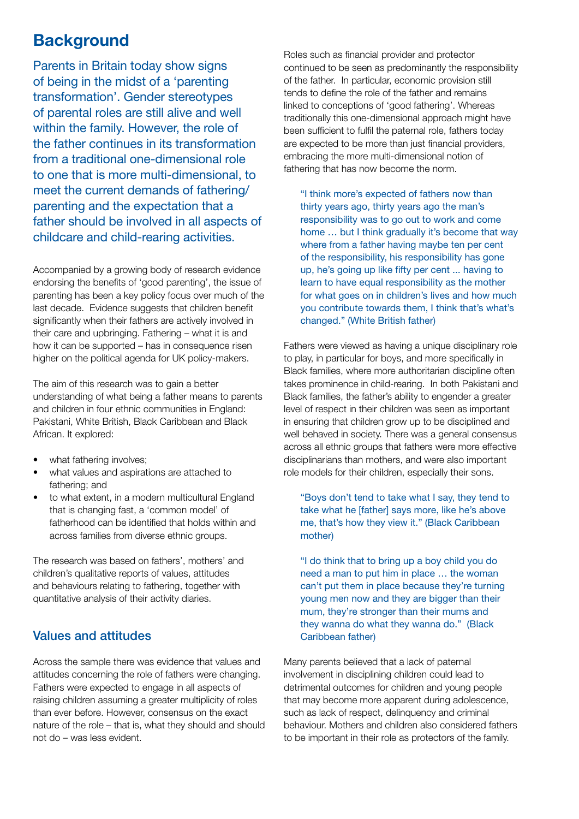# **Background**

Parents in Britain today show signs of being in the midst of a 'parenting transformation'. Gender stereotypes of parental roles are still alive and well within the family. However, the role of the father continues in its transformation from a traditional one-dimensional role to one that is more multi-dimensional, to meet the current demands of fathering/ parenting and the expectation that a father should be involved in all aspects of childcare and child-rearing activities.

Accompanied by a growing body of research evidence endorsing the benefits of 'good parenting', the issue of parenting has been a key policy focus over much of the last decade. Evidence suggests that children benefit significantly when their fathers are actively involved in their care and upbringing. Fathering – what it is and how it can be supported – has in consequence risen higher on the political agenda for UK policy-makers.

The aim of this research was to gain a better understanding of what being a father means to parents and children in four ethnic communities in England: Pakistani, White British, Black Caribbean and Black African. It explored:

- what fathering involves;
- what values and aspirations are attached to fathering; and
- to what extent, in a modern multicultural England that is changing fast, a 'common model' of fatherhood can be identified that holds within and across families from diverse ethnic groups.

The research was based on fathers', mothers' and children's qualitative reports of values, attitudes and behaviours relating to fathering, together with quantitative analysis of their activity diaries.

# Values and attitudes

Across the sample there was evidence that values and attitudes concerning the role of fathers were changing. Fathers were expected to engage in all aspects of raising children assuming a greater multiplicity of roles than ever before. However, consensus on the exact nature of the role – that is, what they should and should not do – was less evident.

Roles such as financial provider and protector continued to be seen as predominantly the responsibility of the father. In particular, economic provision still tends to define the role of the father and remains linked to conceptions of 'good fathering'. Whereas traditionally this one-dimensional approach might have been sufficient to fulfil the paternal role, fathers today are expected to be more than just financial providers, embracing the more multi-dimensional notion of fathering that has now become the norm.

"I think more's expected of fathers now than thirty years ago, thirty years ago the man's responsibility was to go out to work and come home … but I think gradually it's become that way where from a father having maybe ten per cent of the responsibility, his responsibility has gone up, he's going up like fifty per cent ... having to learn to have equal responsibility as the mother for what goes on in children's lives and how much you contribute towards them, I think that's what's changed." (White British father)

Fathers were viewed as having a unique disciplinary role to play, in particular for boys, and more specifically in Black families, where more authoritarian discipline often takes prominence in child-rearing. In both Pakistani and Black families, the father's ability to engender a greater level of respect in their children was seen as important in ensuring that children grow up to be disciplined and well behaved in society. There was a general consensus across all ethnic groups that fathers were more effective disciplinarians than mothers, and were also important role models for their children, especially their sons.

"Boys don't tend to take what I say, they tend to take what he [father] says more, like he's above me, that's how they view it." (Black Caribbean mother)

"I do think that to bring up a boy child you do need a man to put him in place … the woman can't put them in place because they're turning young men now and they are bigger than their mum, they're stronger than their mums and they wanna do what they wanna do." (Black Caribbean father)

Many parents believed that a lack of paternal involvement in disciplining children could lead to detrimental outcomes for children and young people that may become more apparent during adolescence, such as lack of respect, delinquency and criminal behaviour. Mothers and children also considered fathers to be important in their role as protectors of the family.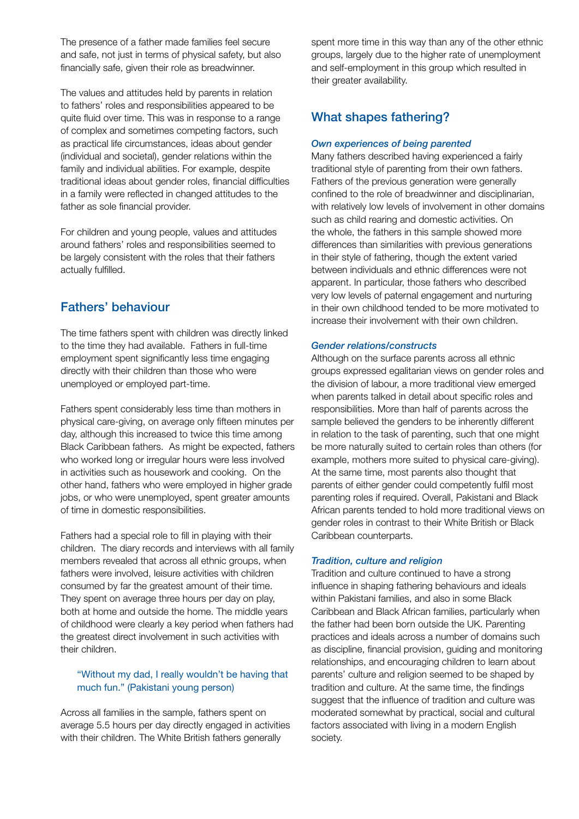The presence of a father made families feel secure and safe, not just in terms of physical safety, but also financially safe, given their role as breadwinner.

The values and attitudes held by parents in relation to fathers' roles and responsibilities appeared to be quite fluid over time. This was in response to a range of complex and sometimes competing factors, such as practical life circumstances, ideas about gender (individual and societal), gender relations within the family and individual abilities. For example, despite traditional ideas about gender roles, financial difficulties in a family were reflected in changed attitudes to the father as sole financial provider.

For children and young people, values and attitudes around fathers' roles and responsibilities seemed to be largely consistent with the roles that their fathers actually fulfilled.

# Fathers' behaviour

The time fathers spent with children was directly linked to the time they had available. Fathers in full-time employment spent significantly less time engaging directly with their children than those who were unemployed or employed part-time.

Fathers spent considerably less time than mothers in physical care-giving, on average only fifteen minutes per day, although this increased to twice this time among Black Caribbean fathers. As might be expected, fathers who worked long or irregular hours were less involved in activities such as housework and cooking. On the other hand, fathers who were employed in higher grade jobs, or who were unemployed, spent greater amounts of time in domestic responsibilities.

Fathers had a special role to fill in playing with their children. The diary records and interviews with all family members revealed that across all ethnic groups, when fathers were involved, leisure activities with children consumed by far the greatest amount of their time. They spent on average three hours per day on play, both at home and outside the home. The middle years of childhood were clearly a key period when fathers had the greatest direct involvement in such activities with their children.

## "Without my dad, I really wouldn't be having that much fun." (Pakistani young person)

Across all families in the sample, fathers spent on average 5.5 hours per day directly engaged in activities with their children. The White British fathers generally

spent more time in this way than any of the other ethnic groups, largely due to the higher rate of unemployment and self-employment in this group which resulted in their greater availability.

# What shapes fathering?

### *Own experiences of being parented*

Many fathers described having experienced a fairly traditional style of parenting from their own fathers. Fathers of the previous generation were generally confined to the role of breadwinner and disciplinarian, with relatively low levels of involvement in other domains such as child rearing and domestic activities. On the whole, the fathers in this sample showed more differences than similarities with previous generations in their style of fathering, though the extent varied between individuals and ethnic differences were not apparent. In particular, those fathers who described very low levels of paternal engagement and nurturing in their own childhood tended to be more motivated to increase their involvement with their own children.

#### *Gender relations/constructs*

Although on the surface parents across all ethnic groups expressed egalitarian views on gender roles and the division of labour, a more traditional view emerged when parents talked in detail about specific roles and responsibilities. More than half of parents across the sample believed the genders to be inherently different in relation to the task of parenting, such that one might be more naturally suited to certain roles than others (for example, mothers more suited to physical care-giving). At the same time, most parents also thought that parents of either gender could competently fulfil most parenting roles if required. Overall, Pakistani and Black African parents tended to hold more traditional views on gender roles in contrast to their White British or Black Caribbean counterparts.

#### *Tradition, culture and religion*

Tradition and culture continued to have a strong influence in shaping fathering behaviours and ideals within Pakistani families, and also in some Black Caribbean and Black African families, particularly when the father had been born outside the UK. Parenting practices and ideals across a number of domains such as discipline, financial provision, guiding and monitoring relationships, and encouraging children to learn about parents' culture and religion seemed to be shaped by tradition and culture. At the same time, the findings suggest that the influence of tradition and culture was moderated somewhat by practical, social and cultural factors associated with living in a modern English society.